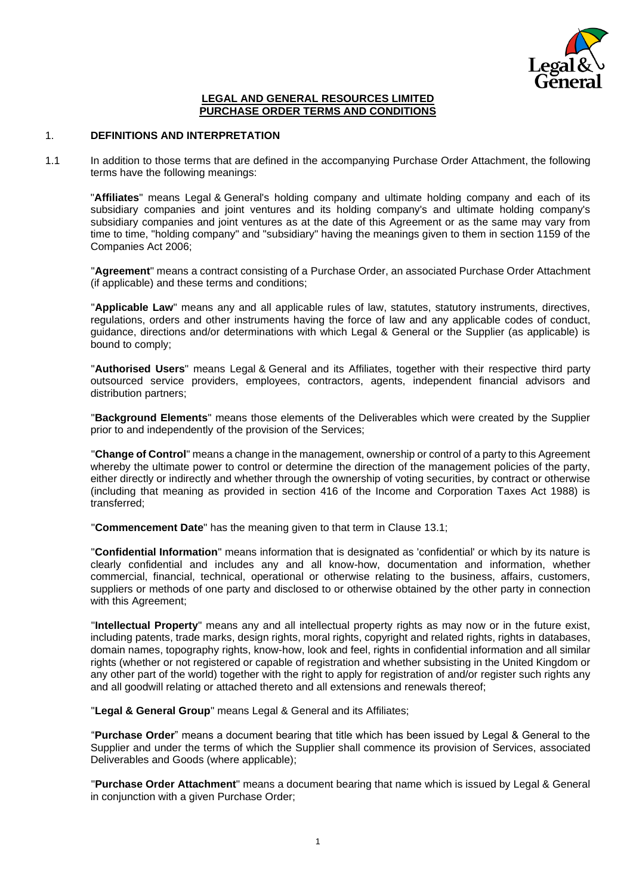

#### **LEGAL AND GENERAL RESOURCES LIMITED PURCHASE ORDER TERMS AND CONDITIONS**

## 1. **DEFINITIONS AND INTERPRETATION**

1.1 In addition to those terms that are defined in the accompanying Purchase Order Attachment, the following terms have the following meanings:

"**Affiliates**" means Legal & General's holding company and ultimate holding company and each of its subsidiary companies and joint ventures and its holding company's and ultimate holding company's subsidiary companies and joint ventures as at the date of this Agreement or as the same may vary from time to time, "holding company" and "subsidiary" having the meanings given to them in section 1159 of the Companies Act 2006;

"**Agreement**" means a contract consisting of a Purchase Order, an associated Purchase Order Attachment (if applicable) and these terms and conditions;

"**Applicable Law**" means any and all applicable rules of law, statutes, statutory instruments, directives, regulations, orders and other instruments having the force of law and any applicable codes of conduct, guidance, directions and/or determinations with which Legal & General or the Supplier (as applicable) is bound to comply;

"**Authorised Users**" means Legal & General and its Affiliates, together with their respective third party outsourced service providers, employees, contractors, agents, independent financial advisors and distribution partners;

"**Background Elements**" means those elements of the Deliverables which were created by the Supplier prior to and independently of the provision of the Services;

"**Change of Control**" means a change in the management, ownership or control of a party to this Agreement whereby the ultimate power to control or determine the direction of the management policies of the party, either directly or indirectly and whether through the ownership of voting securities, by contract or otherwise (including that meaning as provided in section 416 of the Income and Corporation Taxes Act 1988) is transferred;

"**Commencement Date**" has the meaning given to that term in Clause [13.1;](#page-8-0)

"**Confidential Information**" means information that is designated as 'confidential' or which by its nature is clearly confidential and includes any and all know-how, documentation and information, whether commercial, financial, technical, operational or otherwise relating to the business, affairs, customers, suppliers or methods of one party and disclosed to or otherwise obtained by the other party in connection with this Agreement;

"**Intellectual Property**" means any and all intellectual property rights as may now or in the future exist, including patents, trade marks, design rights, moral rights, copyright and related rights, rights in databases, domain names, topography rights, know-how, look and feel, rights in confidential information and all similar rights (whether or not registered or capable of registration and whether subsisting in the United Kingdom or any other part of the world) together with the right to apply for registration of and/or register such rights any and all goodwill relating or attached thereto and all extensions and renewals thereof;

"**Legal & General Group**" means Legal & General and its Affiliates;

"**Purchase Order**" means a document bearing that title which has been issued by Legal & General to the Supplier and under the terms of which the Supplier shall commence its provision of Services, associated Deliverables and Goods (where applicable);

"**Purchase Order Attachment**" means a document bearing that name which is issued by Legal & General in conjunction with a given Purchase Order;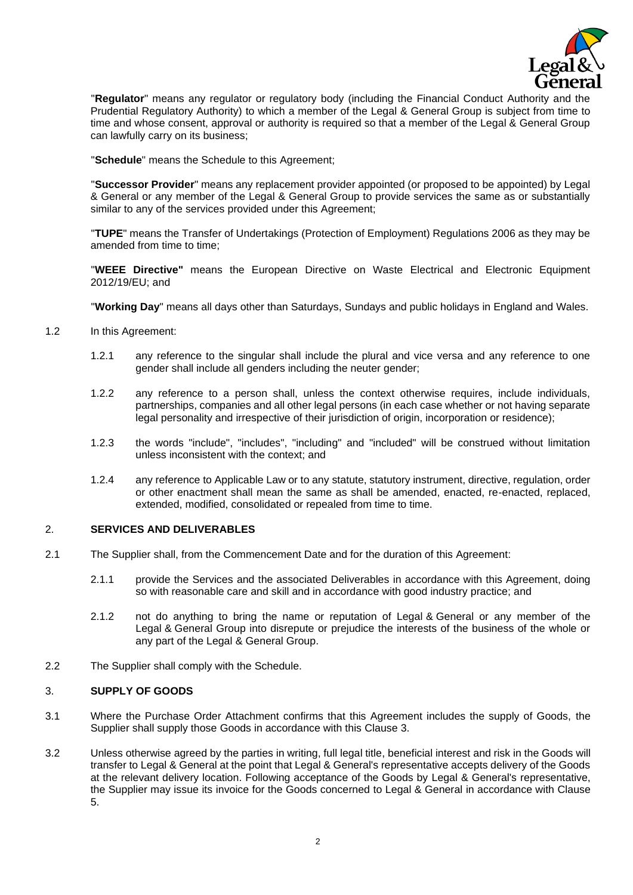

"**Regulator**" means any regulator or regulatory body (including the Financial Conduct Authority and the Prudential Regulatory Authority) to which a member of the Legal & General Group is subject from time to time and whose consent, approval or authority is required so that a member of the Legal & General Group can lawfully carry on its business;

"**Schedule**" means the Schedule to this Agreement;

"**Successor Provider**" means any replacement provider appointed (or proposed to be appointed) by Legal & General or any member of the Legal & General Group to provide services the same as or substantially similar to any of the services provided under this Agreement;

"**TUPE**" means the Transfer of Undertakings (Protection of Employment) Regulations 2006 as they may be amended from time to time;

"**WEEE Directive"** means the European Directive on Waste Electrical and Electronic Equipment 2012/19/EU; and

"**Working Day**" means all days other than Saturdays, Sundays and public holidays in England and Wales.

- 1.2 In this Agreement:
	- 1.2.1 any reference to the singular shall include the plural and vice versa and any reference to one gender shall include all genders including the neuter gender;
	- 1.2.2 any reference to a person shall, unless the context otherwise requires, include individuals, partnerships, companies and all other legal persons (in each case whether or not having separate legal personality and irrespective of their jurisdiction of origin, incorporation or residence);
	- 1.2.3 the words "include", "includes", "including" and "included" will be construed without limitation unless inconsistent with the context; and
	- 1.2.4 any reference to Applicable Law or to any statute, statutory instrument, directive, regulation, order or other enactment shall mean the same as shall be amended, enacted, re-enacted, replaced, extended, modified, consolidated or repealed from time to time.

## 2. **SERVICES AND DELIVERABLES**

- 2.1 The Supplier shall, from the Commencement Date and for the duration of this Agreement:
	- 2.1.1 provide the Services and the associated Deliverables in accordance with this Agreement, doing so with reasonable care and skill and in accordance with good industry practice; and
	- 2.1.2 not do anything to bring the name or reputation of Legal & General or any member of the Legal & General Group into disrepute or prejudice the interests of the business of the whole or any part of the Legal & General Group.
- 2.2 The Supplier shall comply with the Schedule.

## <span id="page-1-0"></span>3. **SUPPLY OF GOODS**

- 3.1 Where the Purchase Order Attachment confirms that this Agreement includes the supply of Goods, the Supplier shall supply those Goods in accordance with this Clause [3.](#page-1-0)
- 3.2 Unless otherwise agreed by the parties in writing, full legal title, beneficial interest and risk in the Goods will transfer to Legal & General at the point that Legal & General's representative accepts delivery of the Goods at the relevant delivery location. Following acceptance of the Goods by Legal & General's representative, the Supplier may issue its invoice for the Goods concerned to Legal & General in accordance with Clause [5.](#page-3-0)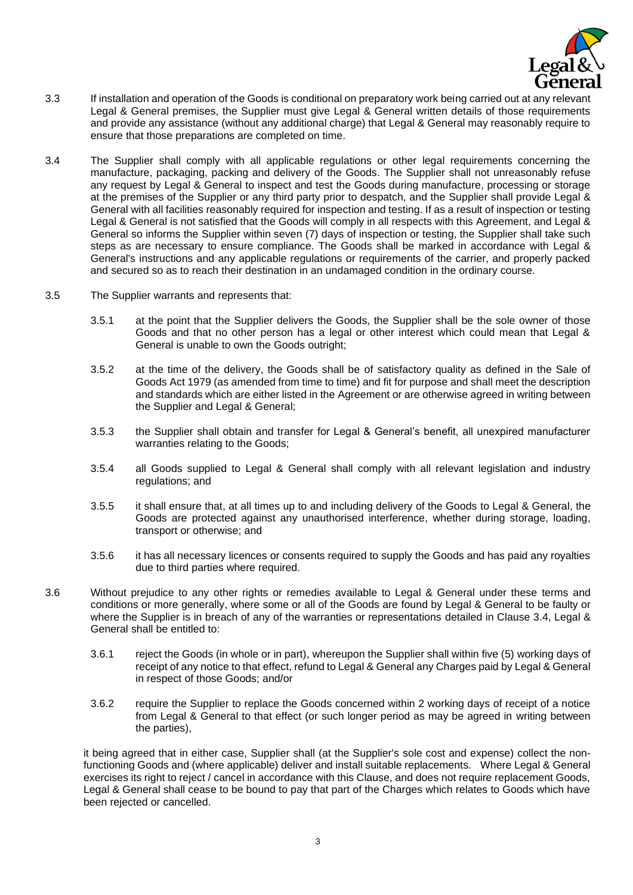

- 3.3 If installation and operation of the Goods is conditional on preparatory work being carried out at any relevant Legal & General premises, the Supplier must give Legal & General written details of those requirements and provide any assistance (without any additional charge) that Legal & General may reasonably require to ensure that those preparations are completed on time.
- <span id="page-2-0"></span>3.4 The Supplier shall comply with all applicable regulations or other legal requirements concerning the manufacture, packaging, packing and delivery of the Goods. The Supplier shall not unreasonably refuse any request by Legal & General to inspect and test the Goods during manufacture, processing or storage at the premises of the Supplier or any third party prior to despatch, and the Supplier shall provide Legal & General with all facilities reasonably required for inspection and testing. If as a result of inspection or testing Legal & General is not satisfied that the Goods will comply in all respects with this Agreement, and Legal & General so informs the Supplier within seven (7) days of inspection or testing, the Supplier shall take such steps as are necessary to ensure compliance. The Goods shall be marked in accordance with Legal & General's instructions and any applicable regulations or requirements of the carrier, and properly packed and secured so as to reach their destination in an undamaged condition in the ordinary course.
- 3.5 The Supplier warrants and represents that:
	- 3.5.1 at the point that the Supplier delivers the Goods, the Supplier shall be the sole owner of those Goods and that no other person has a legal or other interest which could mean that Legal & General is unable to own the Goods outright;
	- 3.5.2 at the time of the delivery, the Goods shall be of satisfactory quality as defined in the Sale of Goods Act 1979 (as amended from time to time) and fit for purpose and shall meet the description and standards which are either listed in the Agreement or are otherwise agreed in writing between the Supplier and Legal & General;
	- 3.5.3 the Supplier shall obtain and transfer for Legal & General's benefit, all unexpired manufacturer warranties relating to the Goods;
	- 3.5.4 all Goods supplied to Legal & General shall comply with all relevant legislation and industry regulations; and
	- 3.5.5 it shall ensure that, at all times up to and including delivery of the Goods to Legal & General, the Goods are protected against any unauthorised interference, whether during storage, loading, transport or otherwise; and
	- 3.5.6 it has all necessary licences or consents required to supply the Goods and has paid any royalties due to third parties where required.
- 3.6 Without prejudice to any other rights or remedies available to Legal & General under these terms and conditions or more generally, where some or all of the Goods are found by Legal & General to be faulty or where the Supplier is in breach of any of the warranties or representations detailed in Clause [3.4,](#page-2-0) Legal & General shall be entitled to:
	- 3.6.1 reject the Goods (in whole or in part), whereupon the Supplier shall within five (5) working days of receipt of any notice to that effect, refund to Legal & General any Charges paid by Legal & General in respect of those Goods; and/or
	- 3.6.2 require the Supplier to replace the Goods concerned within 2 working days of receipt of a notice from Legal & General to that effect (or such longer period as may be agreed in writing between the parties),

it being agreed that in either case, Supplier shall (at the Supplier's sole cost and expense) collect the nonfunctioning Goods and (where applicable) deliver and install suitable replacements. Where Legal & General exercises its right to reject / cancel in accordance with this Clause, and does not require replacement Goods, Legal & General shall cease to be bound to pay that part of the Charges which relates to Goods which have been rejected or cancelled.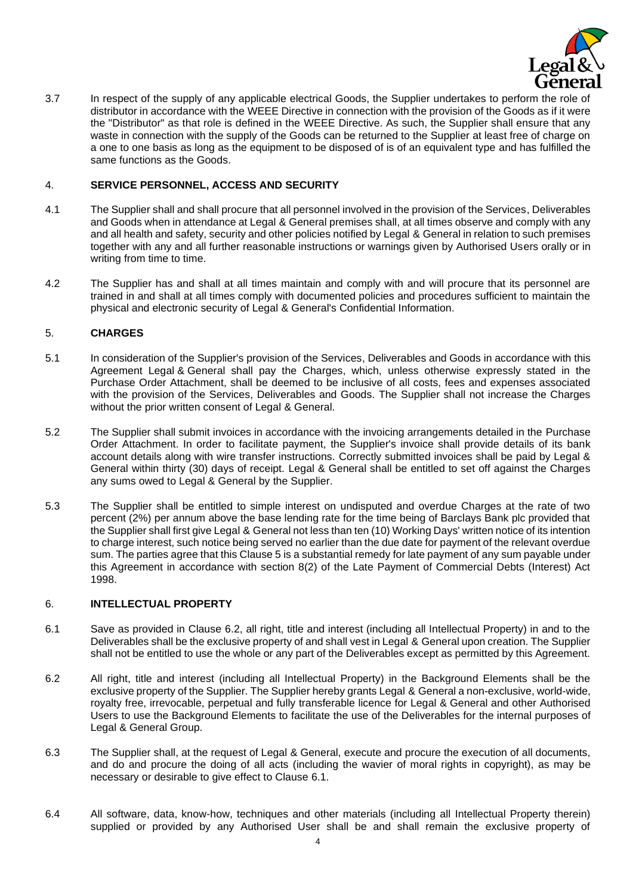

<span id="page-3-3"></span>3.7 In respect of the supply of any applicable electrical Goods, the Supplier undertakes to perform the role of distributor in accordance with the WEEE Directive in connection with the provision of the Goods as if it were the "Distributor" as that role is defined in the WEEE Directive. As such, the Supplier shall ensure that any waste in connection with the supply of the Goods can be returned to the Supplier at least free of charge on a one to one basis as long as the equipment to be disposed of is of an equivalent type and has fulfilled the same functions as the Goods.

### 4. **SERVICE PERSONNEL, ACCESS AND SECURITY**

- 4.1 The Supplier shall and shall procure that all personnel involved in the provision of the Services, Deliverables and Goods when in attendance at Legal & General premises shall, at all times observe and comply with any and all health and safety, security and other policies notified by Legal & General in relation to such premises together with any and all further reasonable instructions or warnings given by Authorised Users orally or in writing from time to time.
- 4.2 The Supplier has and shall at all times maintain and comply with and will procure that its personnel are trained in and shall at all times comply with documented policies and procedures sufficient to maintain the physical and electronic security of Legal & General's Confidential Information.

### <span id="page-3-0"></span>5. **CHARGES**

- 5.1 In consideration of the Supplier's provision of the Services, Deliverables and Goods in accordance with this Agreement Legal & General shall pay the Charges, which, unless otherwise expressly stated in the Purchase Order Attachment, shall be deemed to be inclusive of all costs, fees and expenses associated with the provision of the Services, Deliverables and Goods. The Supplier shall not increase the Charges without the prior written consent of Legal & General.
- 5.2 The Supplier shall submit invoices in accordance with the invoicing arrangements detailed in the Purchase Order Attachment. In order to facilitate payment, the Supplier's invoice shall provide details of its bank account details along with wire transfer instructions. Correctly submitted invoices shall be paid by Legal & General within thirty (30) days of receipt. Legal & General shall be entitled to set off against the Charges any sums owed to Legal & General by the Supplier.
- 5.3 The Supplier shall be entitled to simple interest on undisputed and overdue Charges at the rate of two percent (2%) per annum above the base lending rate for the time being of Barclays Bank plc provided that the Supplier shall first give Legal & General not less than ten (10) Working Days' written notice of its intention to charge interest, such notice being served no earlier than the due date for payment of the relevant overdue sum. The parties agree that this Clause 5 is a substantial remedy for late payment of any sum payable under this Agreement in accordance with section 8(2) of the Late Payment of Commercial Debts (Interest) Act 1998.

### 6. **INTELLECTUAL PROPERTY**

- <span id="page-3-2"></span>6.1 Save as provided in Clause [6.2,](#page-3-1) all right, title and interest (including all Intellectual Property) in and to the Deliverables shall be the exclusive property of and shall vest in Legal & General upon creation. The Supplier shall not be entitled to use the whole or any part of the Deliverables except as permitted by this Agreement.
- <span id="page-3-1"></span>6.2 All right, title and interest (including all Intellectual Property) in the Background Elements shall be the exclusive property of the Supplier. The Supplier hereby grants Legal & General a non-exclusive, world-wide, royalty free, irrevocable, perpetual and fully transferable licence for Legal & General and other Authorised Users to use the Background Elements to facilitate the use of the Deliverables for the internal purposes of Legal & General Group.
- 6.3 The Supplier shall, at the request of Legal & General, execute and procure the execution of all documents, and do and procure the doing of all acts (including the wavier of moral rights in copyright), as may be necessary or desirable to give effect to Clause [6.1.](#page-3-2)
- 6.4 All software, data, know-how, techniques and other materials (including all Intellectual Property therein) supplied or provided by any Authorised User shall be and shall remain the exclusive property of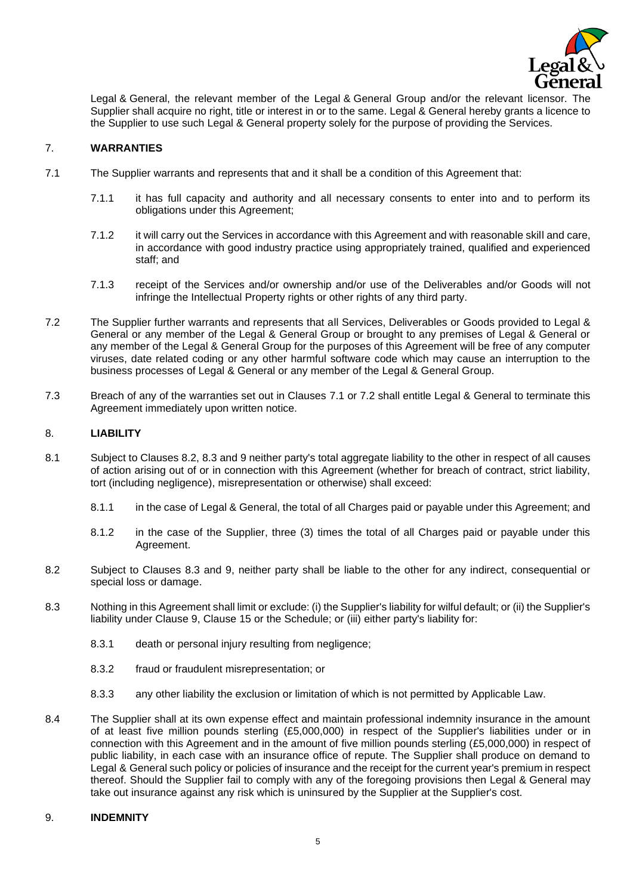

Legal & General, the relevant member of the Legal & General Group and/or the relevant licensor. The Supplier shall acquire no right, title or interest in or to the same. Legal & General hereby grants a licence to the Supplier to use such Legal & General property solely for the purpose of providing the Services.

## 7. **WARRANTIES**

- <span id="page-4-0"></span>7.1 The Supplier warrants and represents that and it shall be a condition of this Agreement that:
	- 7.1.1 it has full capacity and authority and all necessary consents to enter into and to perform its obligations under this Agreement;
	- 7.1.2 it will carry out the Services in accordance with this Agreement and with reasonable skill and care, in accordance with good industry practice using appropriately trained, qualified and experienced staff; and
	- 7.1.3 receipt of the Services and/or ownership and/or use of the Deliverables and/or Goods will not infringe the Intellectual Property rights or other rights of any third party.
- <span id="page-4-1"></span>7.2 The Supplier further warrants and represents that all Services, Deliverables or Goods provided to Legal & General or any member of the Legal & General Group or brought to any premises of Legal & General or any member of the Legal & General Group for the purposes of this Agreement will be free of any computer viruses, date related coding or any other harmful software code which may cause an interruption to the business processes of Legal & General or any member of the Legal & General Group.
- 7.3 Breach of any of the warranties set out in Clauses [7.1](#page-4-0) or [7.2](#page-4-1) shall entitle Legal & General to terminate this Agreement immediately upon written notice.

### <span id="page-4-5"></span>8. **LIABILITY**

- 8.1 Subject to Clauses [8.2,](#page-4-2) [8.3](#page-4-3) and [9](#page-4-4) neither party's total aggregate liability to the other in respect of all causes of action arising out of or in connection with this Agreement (whether for breach of contract, strict liability, tort (including negligence), misrepresentation or otherwise) shall exceed:
	- 8.1.1 in the case of Legal & General, the total of all Charges paid or payable under this Agreement; and
	- 8.1.2 in the case of the Supplier, three (3) times the total of all Charges paid or payable under this Agreement.
- <span id="page-4-2"></span>8.2 Subject to Clauses [8.3](#page-4-3) and [9,](#page-4-4) neither party shall be liable to the other for any indirect, consequential or special loss or damage.
- <span id="page-4-3"></span>8.3 Nothing in this Agreement shall limit or exclude: (i) the Supplier's liability for wilful default; or (ii) the Supplier's liability under Clause [9,](#page-4-4) Clause [15](#page-10-0) or the Schedule; or (iii) either party's liability for:
	- 8.3.1 death or personal injury resulting from negligence;
	- 8.3.2 fraud or fraudulent misrepresentation; or
	- 8.3.3 any other liability the exclusion or limitation of which is not permitted by Applicable Law.
- 8.4 The Supplier shall at its own expense effect and maintain professional indemnity insurance in the amount of at least five million pounds sterling (£5,000,000) in respect of the Supplier's liabilities under or in connection with this Agreement and in the amount of five million pounds sterling (£5,000,000) in respect of public liability, in each case with an insurance office of repute. The Supplier shall produce on demand to Legal & General such policy or policies of insurance and the receipt for the current year's premium in respect thereof. Should the Supplier fail to comply with any of the foregoing provisions then Legal & General may take out insurance against any risk which is uninsured by the Supplier at the Supplier's cost.

#### <span id="page-4-4"></span>9. **INDEMNITY**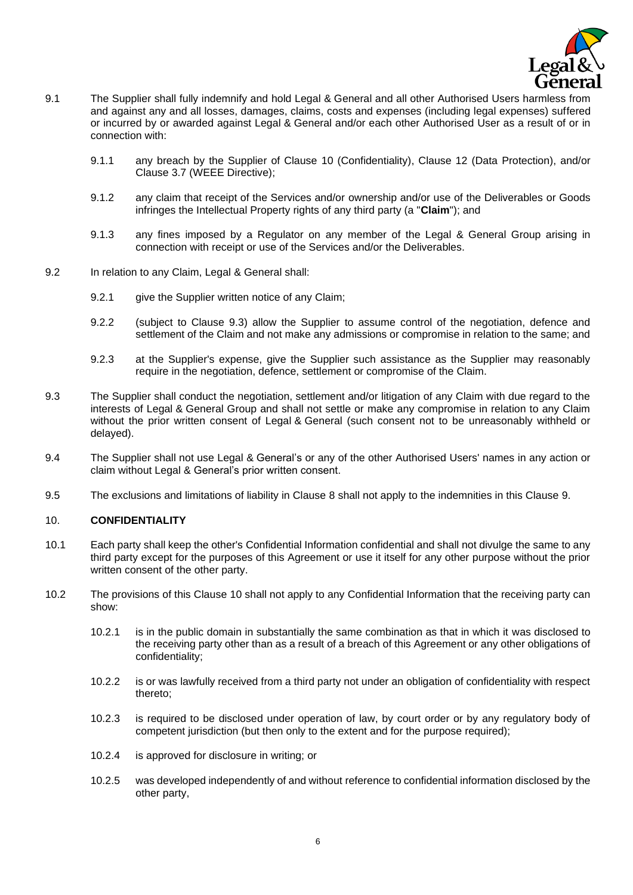

- 9.1 The Supplier shall fully indemnify and hold Legal & General and all other Authorised Users harmless from and against any and all losses, damages, claims, costs and expenses (including legal expenses) suffered or incurred by or awarded against Legal & General and/or each other Authorised User as a result of or in connection with:
	- 9.1.1 any breach by the Supplier of Clause [10](#page-5-0) (Confidentiality), Clause [12](#page-6-0) (Data Protection), and/or Clause [3.7](#page-3-3) (WEEE Directive);
	- 9.1.2 any claim that receipt of the Services and/or ownership and/or use of the Deliverables or Goods infringes the Intellectual Property rights of any third party (a "**Claim**"); and
	- 9.1.3 any fines imposed by a Regulator on any member of the Legal & General Group arising in connection with receipt or use of the Services and/or the Deliverables.
- 9.2 In relation to any Claim, Legal & General shall:
	- 9.2.1 give the Supplier written notice of any Claim;
	- 9.2.2 (subject to Clause [9.3\)](#page-5-1) allow the Supplier to assume control of the negotiation, defence and settlement of the Claim and not make any admissions or compromise in relation to the same; and
	- 9.2.3 at the Supplier's expense, give the Supplier such assistance as the Supplier may reasonably require in the negotiation, defence, settlement or compromise of the Claim.
- <span id="page-5-1"></span>9.3 The Supplier shall conduct the negotiation, settlement and/or litigation of any Claim with due regard to the interests of Legal & General Group and shall not settle or make any compromise in relation to any Claim without the prior written consent of Legal & General (such consent not to be unreasonably withheld or delayed).
- 9.4 The Supplier shall not use Legal & General's or any of the other Authorised Users' names in any action or claim without Legal & General's prior written consent.
- 9.5 The exclusions and limitations of liability in Clause [8](#page-4-5) shall not apply to the indemnities in this Clause [9.](#page-4-4)

### <span id="page-5-0"></span>10. **CONFIDENTIALITY**

- 10.1 Each party shall keep the other's Confidential Information confidential and shall not divulge the same to any third party except for the purposes of this Agreement or use it itself for any other purpose without the prior written consent of the other party.
- <span id="page-5-2"></span>10.2 The provisions of this Clause [10](#page-5-0) shall not apply to any Confidential Information that the receiving party can show:
	- 10.2.1 is in the public domain in substantially the same combination as that in which it was disclosed to the receiving party other than as a result of a breach of this Agreement or any other obligations of confidentiality;
	- 10.2.2 is or was lawfully received from a third party not under an obligation of confidentiality with respect thereto;
	- 10.2.3 is required to be disclosed under operation of law, by court order or by any regulatory body of competent jurisdiction (but then only to the extent and for the purpose required);
	- 10.2.4 is approved for disclosure in writing; or
	- 10.2.5 was developed independently of and without reference to confidential information disclosed by the other party,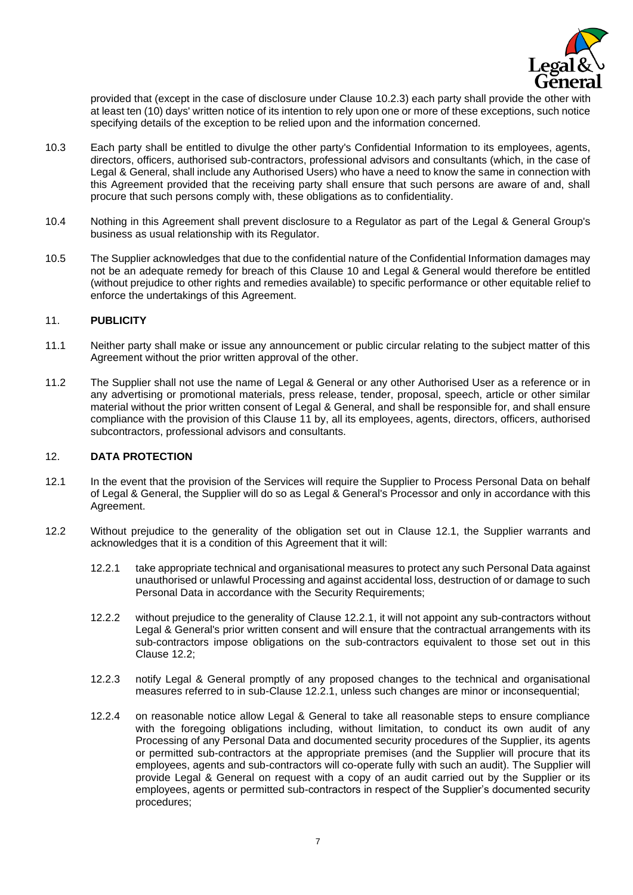

provided that (except in the case of disclosure under Clause [10.2.3\)](#page-5-2) each party shall provide the other with at least ten (10) days' written notice of its intention to rely upon one or more of these exceptions, such notice specifying details of the exception to be relied upon and the information concerned.

- 10.3 Each party shall be entitled to divulge the other party's Confidential Information to its employees, agents, directors, officers, authorised sub-contractors, professional advisors and consultants (which, in the case of Legal & General, shall include any Authorised Users) who have a need to know the same in connection with this Agreement provided that the receiving party shall ensure that such persons are aware of and, shall procure that such persons comply with, these obligations as to confidentiality.
- 10.4 Nothing in this Agreement shall prevent disclosure to a Regulator as part of the Legal & General Group's business as usual relationship with its Regulator.
- 10.5 The Supplier acknowledges that due to the confidential nature of the Confidential Information damages may not be an adequate remedy for breach of this Clause [10](#page-5-0) and Legal & General would therefore be entitled (without prejudice to other rights and remedies available) to specific performance or other equitable relief to enforce the undertakings of this Agreement.

## <span id="page-6-1"></span>11. **PUBLICITY**

- 11.1 Neither party shall make or issue any announcement or public circular relating to the subject matter of this Agreement without the prior written approval of the other.
- 11.2 The Supplier shall not use the name of Legal & General or any other Authorised User as a reference or in any advertising or promotional materials, press release, tender, proposal, speech, article or other similar material without the prior written consent of Legal & General, and shall be responsible for, and shall ensure compliance with the provision of this Clause [11](#page-6-1) by, all its employees, agents, directors, officers, authorised subcontractors, professional advisors and consultants.

#### <span id="page-6-0"></span>12. **DATA PROTECTION**

- <span id="page-6-2"></span>12.1 In the event that the provision of the Services will require the Supplier to Process Personal Data on behalf of Legal & General, the Supplier will do so as Legal & General's Processor and only in accordance with this Agreement.
- <span id="page-6-4"></span><span id="page-6-3"></span>12.2 Without prejudice to the generality of the obligation set out in Clause [12.1,](#page-6-2) the Supplier warrants and acknowledges that it is a condition of this Agreement that it will:
	- 12.2.1 take appropriate technical and organisational measures to protect any such Personal Data against unauthorised or unlawful Processing and against accidental loss, destruction of or damage to such Personal Data in accordance with the Security Requirements;
	- 12.2.2 without prejudice to the generality of Clause [12.2.1,](#page-6-3) it will not appoint any sub-contractors without Legal & General's prior written consent and will ensure that the contractual arrangements with its sub-contractors impose obligations on the sub-contractors equivalent to those set out in this Clause [12.2;](#page-6-4)
	- 12.2.3 notify Legal & General promptly of any proposed changes to the technical and organisational measures referred to in sub-Clause [12.2.1,](#page-6-3) unless such changes are minor or inconsequential;
	- 12.2.4 on reasonable notice allow Legal & General to take all reasonable steps to ensure compliance with the foregoing obligations including, without limitation, to conduct its own audit of any Processing of any Personal Data and documented security procedures of the Supplier, its agents or permitted sub-contractors at the appropriate premises (and the Supplier will procure that its employees, agents and sub-contractors will co-operate fully with such an audit). The Supplier will provide Legal & General on request with a copy of an audit carried out by the Supplier or its employees, agents or permitted sub-contractors in respect of the Supplier's documented security procedures;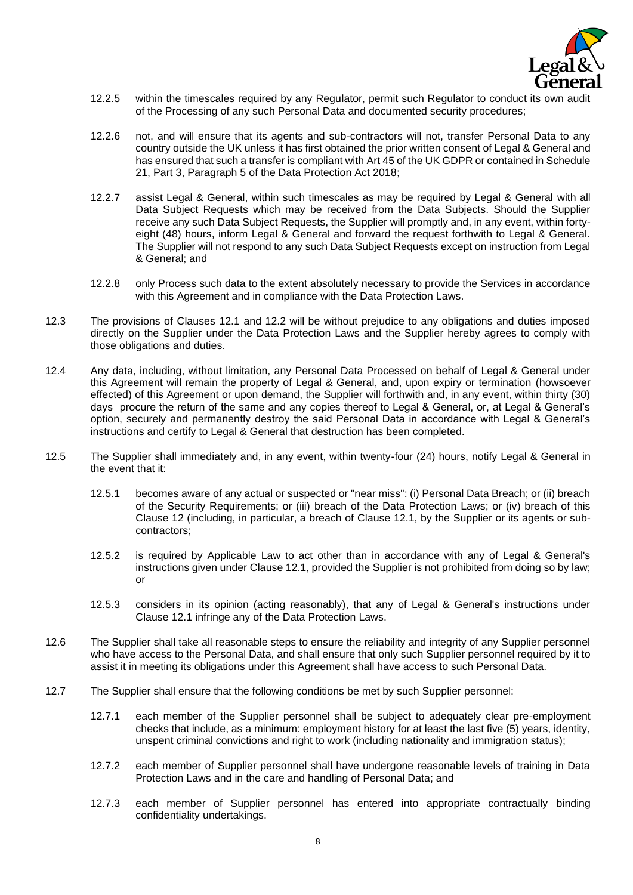

- 12.2.5 within the timescales required by any Regulator, permit such Regulator to conduct its own audit of the Processing of any such Personal Data and documented security procedures;
- 12.2.6 not, and will ensure that its agents and sub-contractors will not, transfer Personal Data to any country outside the UK unless it has first obtained the prior written consent of Legal & General and has ensured that such a transfer is compliant with Art 45 of the UK GDPR or contained in Schedule 21, Part 3, Paragraph 5 of the Data Protection Act 2018;
- 12.2.7 assist Legal & General, within such timescales as may be required by Legal & General with all Data Subject Requests which may be received from the Data Subjects. Should the Supplier receive any such Data Subject Requests, the Supplier will promptly and, in any event, within fortyeight (48) hours, inform Legal & General and forward the request forthwith to Legal & General. The Supplier will not respond to any such Data Subject Requests except on instruction from Legal & General; and
- 12.2.8 only Process such data to the extent absolutely necessary to provide the Services in accordance with this Agreement and in compliance with the Data Protection Laws.
- 12.3 The provisions of Clauses [12.1](#page-6-2) and [12.2](#page-6-4) will be without prejudice to any obligations and duties imposed directly on the Supplier under the Data Protection Laws and the Supplier hereby agrees to comply with those obligations and duties.
- 12.4 Any data, including, without limitation, any Personal Data Processed on behalf of Legal & General under this Agreement will remain the property of Legal & General, and, upon expiry or termination (howsoever effected) of this Agreement or upon demand, the Supplier will forthwith and, in any event, within thirty (30) days procure the return of the same and any copies thereof to Legal & General, or, at Legal & General's option, securely and permanently destroy the said Personal Data in accordance with Legal & General's instructions and certify to Legal & General that destruction has been completed.
- 12.5 The Supplier shall immediately and, in any event, within twenty-four (24) hours, notify Legal & General in the event that it:
	- 12.5.1 becomes aware of any actual or suspected or "near miss": (i) Personal Data Breach; or (ii) breach of the Security Requirements; or (iii) breach of the Data Protection Laws; or (iv) breach of this Clause [12](#page-6-0) (including, in particular, a breach of Clause [12.1,](#page-6-2) by the Supplier or its agents or subcontractors;
	- 12.5.2 is required by Applicable Law to act other than in accordance with any of Legal & General's instructions given under Clause [12.1,](#page-6-2) provided the Supplier is not prohibited from doing so by law; or
	- 12.5.3 considers in its opinion (acting reasonably), that any of Legal & General's instructions under Clause [12.1](#page-6-2) infringe any of the Data Protection Laws.
- 12.6 The Supplier shall take all reasonable steps to ensure the reliability and integrity of any Supplier personnel who have access to the Personal Data, and shall ensure that only such Supplier personnel required by it to assist it in meeting its obligations under this Agreement shall have access to such Personal Data.
- 12.7 The Supplier shall ensure that the following conditions be met by such Supplier personnel:
	- 12.7.1 each member of the Supplier personnel shall be subject to adequately clear pre-employment checks that include, as a minimum: employment history for at least the last five (5) years, identity, unspent criminal convictions and right to work (including nationality and immigration status);
	- 12.7.2 each member of Supplier personnel shall have undergone reasonable levels of training in Data Protection Laws and in the care and handling of Personal Data; and
	- 12.7.3 each member of Supplier personnel has entered into appropriate contractually binding confidentiality undertakings.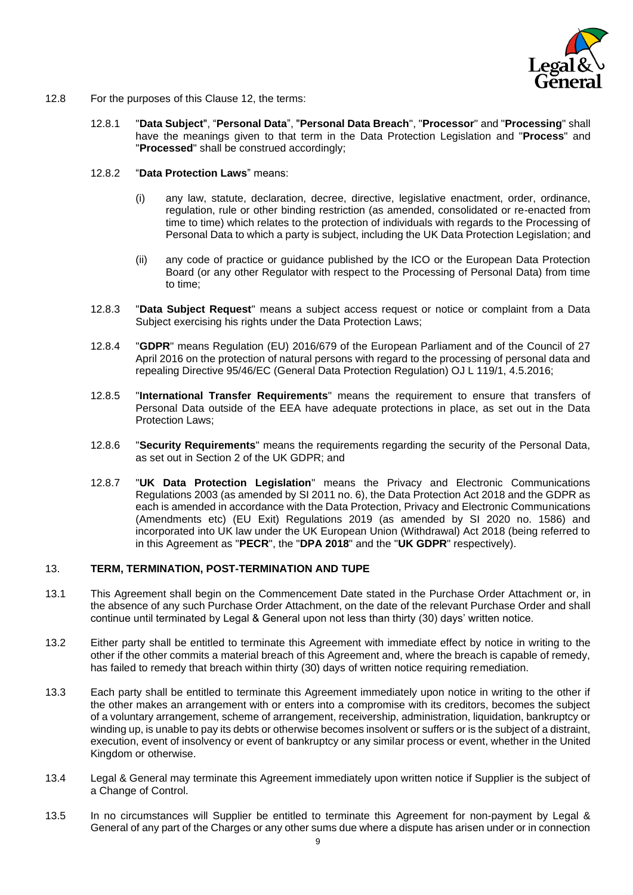

- 12.8 For the purposes of this Clause [12,](#page-6-0) the terms:
	- 12.8.1 "**Data Subject**", "**Personal Data**", "**Personal Data Breach**", "**Processor**" and "**Processing**" shall have the meanings given to that term in the Data Protection Legislation and "**Process**" and "**Processed**" shall be construed accordingly;
	- 12.8.2 "**Data Protection Laws**" means:
		- (i) any law, statute, declaration, decree, directive, legislative enactment, order, ordinance, regulation, rule or other binding restriction (as amended, consolidated or re-enacted from time to time) which relates to the protection of individuals with regards to the Processing of Personal Data to which a party is subject, including the UK Data Protection Legislation; and
		- (ii) any code of practice or guidance published by the ICO or the European Data Protection Board (or any other Regulator with respect to the Processing of Personal Data) from time to time;
	- 12.8.3 "**Data Subject Request**" means a subject access request or notice or complaint from a Data Subject exercising his rights under the Data Protection Laws;
	- 12.8.4 "**GDPR**" means Regulation (EU) 2016/679 of the European Parliament and of the Council of 27 April 2016 on the protection of natural persons with regard to the processing of personal data and repealing Directive 95/46/EC (General Data Protection Regulation) OJ L 119/1, 4.5.2016;
	- 12.8.5 "**International Transfer Requirements**" means the requirement to ensure that transfers of Personal Data outside of the EEA have adequate protections in place, as set out in the Data Protection Laws;
	- 12.8.6 "**Security Requirements**" means the requirements regarding the security of the Personal Data, as set out in Section 2 of the UK GDPR; and
	- 12.8.7 "**UK Data Protection Legislation**" means the Privacy and Electronic Communications Regulations 2003 (as amended by SI 2011 no. 6), the Data Protection Act 2018 and the GDPR as each is amended in accordance with the Data Protection, Privacy and Electronic Communications (Amendments etc) (EU Exit) Regulations 2019 (as amended by SI 2020 no. 1586) and incorporated into UK law under the UK European Union (Withdrawal) Act 2018 (being referred to in this Agreement as "**PECR**", the "**DPA 2018**" and the "**UK GDPR**" respectively).

#### <span id="page-8-1"></span>13. **TERM, TERMINATION, POST-TERMINATION AND TUPE**

- <span id="page-8-0"></span>13.1 This Agreement shall begin on the Commencement Date stated in the Purchase Order Attachment or, in the absence of any such Purchase Order Attachment, on the date of the relevant Purchase Order and shall continue until terminated by Legal & General upon not less than thirty (30) days' written notice.
- 13.2 Either party shall be entitled to terminate this Agreement with immediate effect by notice in writing to the other if the other commits a material breach of this Agreement and, where the breach is capable of remedy, has failed to remedy that breach within thirty (30) days of written notice requiring remediation.
- 13.3 Each party shall be entitled to terminate this Agreement immediately upon notice in writing to the other if the other makes an arrangement with or enters into a compromise with its creditors, becomes the subject of a voluntary arrangement, scheme of arrangement, receivership, administration, liquidation, bankruptcy or winding up, is unable to pay its debts or otherwise becomes insolvent or suffers or is the subject of a distraint, execution, event of insolvency or event of bankruptcy or any similar process or event, whether in the United Kingdom or otherwise.
- 13.4 Legal & General may terminate this Agreement immediately upon written notice if Supplier is the subject of a Change of Control.
- 13.5 In no circumstances will Supplier be entitled to terminate this Agreement for non-payment by Legal & General of any part of the Charges or any other sums due where a dispute has arisen under or in connection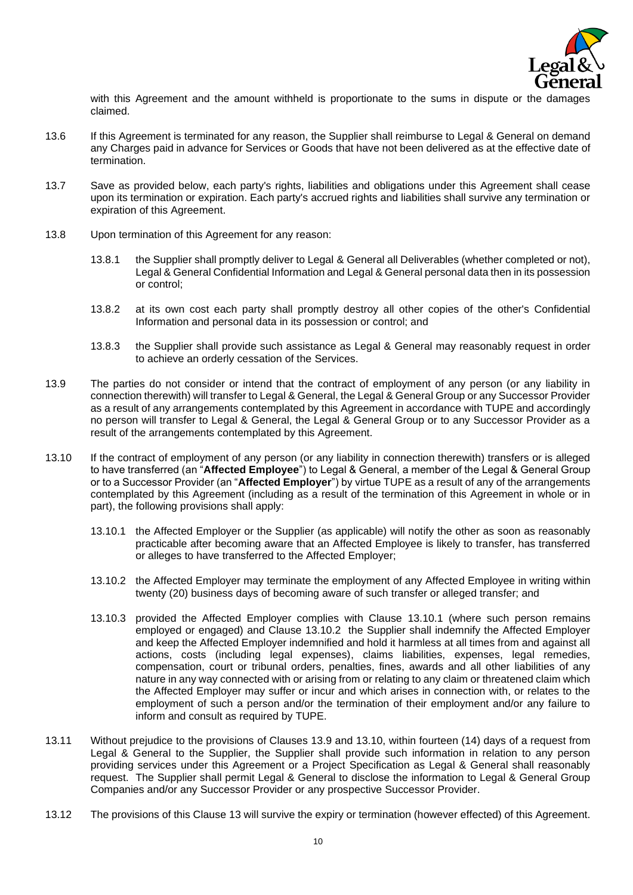

with this Agreement and the amount withheld is proportionate to the sums in dispute or the damages claimed.

- 13.6 If this Agreement is terminated for any reason, the Supplier shall reimburse to Legal & General on demand any Charges paid in advance for Services or Goods that have not been delivered as at the effective date of termination.
- 13.7 Save as provided below, each party's rights, liabilities and obligations under this Agreement shall cease upon its termination or expiration. Each party's accrued rights and liabilities shall survive any termination or expiration of this Agreement.
- 13.8 Upon termination of this Agreement for any reason:
	- 13.8.1 the Supplier shall promptly deliver to Legal & General all Deliverables (whether completed or not), Legal & General Confidential Information and Legal & General personal data then in its possession or control;
	- 13.8.2 at its own cost each party shall promptly destroy all other copies of the other's Confidential Information and personal data in its possession or control; and
	- 13.8.3 the Supplier shall provide such assistance as Legal & General may reasonably request in order to achieve an orderly cessation of the Services.
- <span id="page-9-2"></span>13.9 The parties do not consider or intend that the contract of employment of any person (or any liability in connection therewith) will transfer to Legal & General, the Legal & General Group or any Successor Provider as a result of any arrangements contemplated by this Agreement in accordance with TUPE and accordingly no person will transfer to Legal & General, the Legal & General Group or to any Successor Provider as a result of the arrangements contemplated by this Agreement.
- <span id="page-9-3"></span><span id="page-9-1"></span><span id="page-9-0"></span>13.10 If the contract of employment of any person (or any liability in connection therewith) transfers or is alleged to have transferred (an "**Affected Employee**") to Legal & General, a member of the Legal & General Group or to a Successor Provider (an "**Affected Employer**") by virtue TUPE as a result of any of the arrangements contemplated by this Agreement (including as a result of the termination of this Agreement in whole or in part), the following provisions shall apply:
	- 13.10.1 the Affected Employer or the Supplier (as applicable) will notify the other as soon as reasonably practicable after becoming aware that an Affected Employee is likely to transfer, has transferred or alleges to have transferred to the Affected Employer;
	- 13.10.2 the Affected Employer may terminate the employment of any Affected Employee in writing within twenty (20) business days of becoming aware of such transfer or alleged transfer; and
	- 13.10.3 provided the Affected Employer complies with Clause [13.10.1](#page-9-0) (where such person remains employed or engaged) and Clause [13.10.2](#page-9-1) the Supplier shall indemnify the Affected Employer and keep the Affected Employer indemnified and hold it harmless at all times from and against all actions, costs (including legal expenses), claims liabilities, expenses, legal remedies, compensation, court or tribunal orders, penalties, fines, awards and all other liabilities of any nature in any way connected with or arising from or relating to any claim or threatened claim which the Affected Employer may suffer or incur and which arises in connection with, or relates to the employment of such a person and/or the termination of their employment and/or any failure to inform and consult as required by TUPE.
- 13.11 Without prejudice to the provisions of Clauses [13.9](#page-9-2) and [13.10,](#page-9-3) within fourteen (14) days of a request from Legal & General to the Supplier, the Supplier shall provide such information in relation to any person providing services under this Agreement or a Project Specification as Legal & General shall reasonably request. The Supplier shall permit Legal & General to disclose the information to Legal & General Group Companies and/or any Successor Provider or any prospective Successor Provider.
- 13.12 The provisions of this Clause [13](#page-8-1) will survive the expiry or termination (however effected) of this Agreement.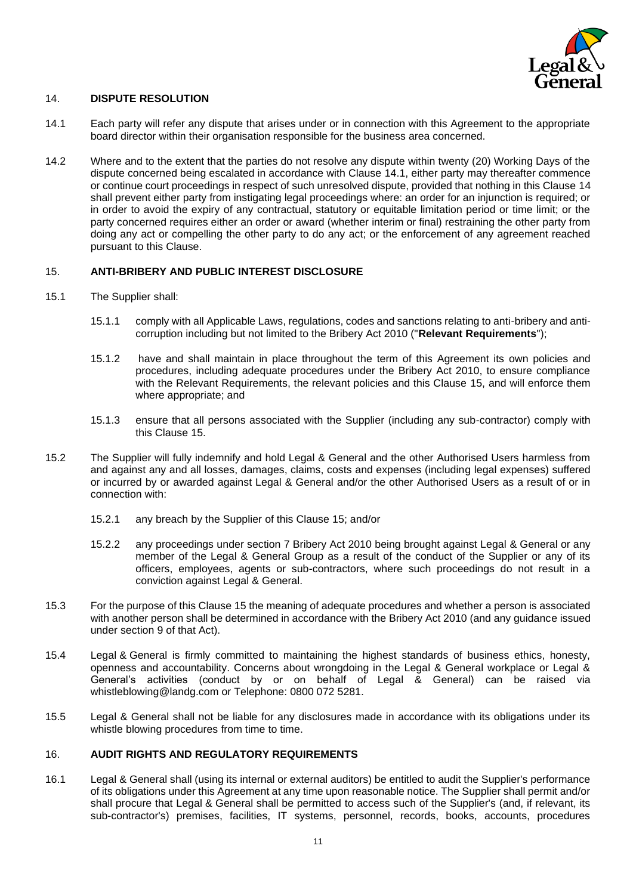

### <span id="page-10-2"></span>14. **DISPUTE RESOLUTION**

- <span id="page-10-1"></span>14.1 Each party will refer any dispute that arises under or in connection with this Agreement to the appropriate board director within their organisation responsible for the business area concerned.
- 14.2 Where and to the extent that the parties do not resolve any dispute within twenty (20) Working Days of the dispute concerned being escalated in accordance with Clause [14.1,](#page-10-1) either party may thereafter commence or continue court proceedings in respect of such unresolved dispute, provided that nothing in this Clause [14](#page-10-2) shall prevent either party from instigating legal proceedings where: an order for an injunction is required; or in order to avoid the expiry of any contractual, statutory or equitable limitation period or time limit; or the party concerned requires either an order or award (whether interim or final) restraining the other party from doing any act or compelling the other party to do any act; or the enforcement of any agreement reached pursuant to this Clause.

### <span id="page-10-0"></span>15. **ANTI-BRIBERY AND PUBLIC INTEREST DISCLOSURE**

- 15.1 The Supplier shall:
	- 15.1.1 comply with all Applicable Laws, regulations, codes and sanctions relating to anti-bribery and anticorruption including but not limited to the Bribery Act 2010 ("**Relevant Requirements**");
	- 15.1.2 have and shall maintain in place throughout the term of this Agreement its own policies and procedures, including adequate procedures under the Bribery Act 2010, to ensure compliance with the Relevant Requirements, the relevant policies and this Clause [15,](#page-10-0) and will enforce them where appropriate; and
	- 15.1.3 ensure that all persons associated with the Supplier (including any sub-contractor) comply with this Clause [15.](#page-10-0)
- 15.2 The Supplier will fully indemnify and hold Legal & General and the other Authorised Users harmless from and against any and all losses, damages, claims, costs and expenses (including legal expenses) suffered or incurred by or awarded against Legal & General and/or the other Authorised Users as a result of or in connection with:
	- 15.2.1 any breach by the Supplier of this Clause [15;](#page-10-0) and/or
	- 15.2.2 any proceedings under section 7 Bribery Act 2010 being brought against Legal & General or any member of the Legal & General Group as a result of the conduct of the Supplier or any of its officers, employees, agents or sub-contractors, where such proceedings do not result in a conviction against Legal & General.
- 15.3 For the purpose of this Clause [15](#page-10-0) the meaning of adequate procedures and whether a person is associated with another person shall be determined in accordance with the Bribery Act 2010 (and any guidance issued under section 9 of that Act).
- 15.4 Legal & General is firmly committed to maintaining the highest standards of business ethics, honesty, openness and accountability. Concerns about wrongdoing in the Legal & General workplace or Legal & General's activities (conduct by or on behalf of Legal & General) can be raised via whistleblowing@landg.com or Telephone: 0800 072 5281.
- 15.5 Legal & General shall not be liable for any disclosures made in accordance with its obligations under its whistle blowing procedures from time to time.

### 16. **AUDIT RIGHTS AND REGULATORY REQUIREMENTS**

16.1 Legal & General shall (using its internal or external auditors) be entitled to audit the Supplier's performance of its obligations under this Agreement at any time upon reasonable notice. The Supplier shall permit and/or shall procure that Legal & General shall be permitted to access such of the Supplier's (and, if relevant, its sub-contractor's) premises, facilities, IT systems, personnel, records, books, accounts, procedures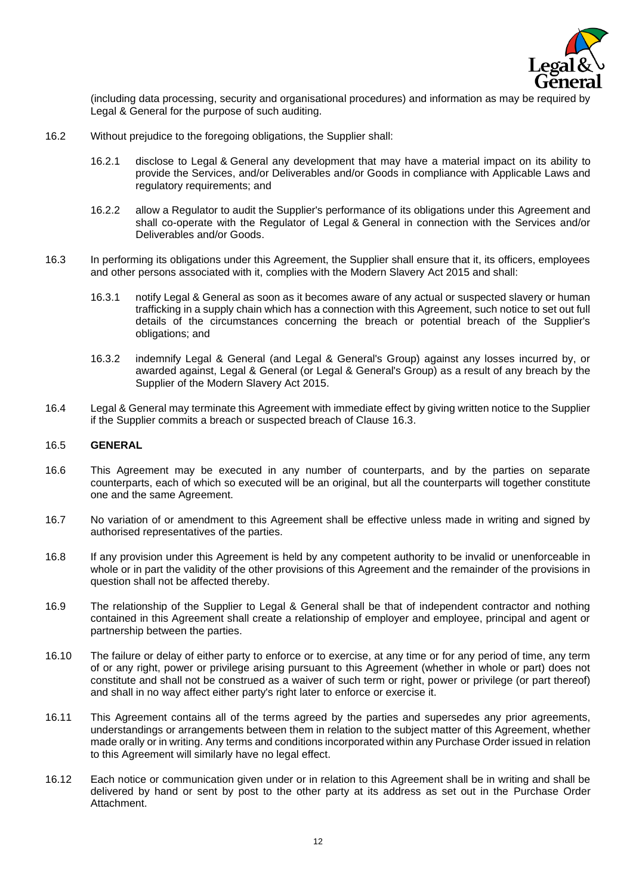

(including data processing, security and organisational procedures) and information as may be required by Legal & General for the purpose of such auditing.

- 16.2 Without prejudice to the foregoing obligations, the Supplier shall:
	- 16.2.1 disclose to Legal & General any development that may have a material impact on its ability to provide the Services, and/or Deliverables and/or Goods in compliance with Applicable Laws and regulatory requirements; and
	- 16.2.2 allow a Regulator to audit the Supplier's performance of its obligations under this Agreement and shall co-operate with the Regulator of Legal & General in connection with the Services and/or Deliverables and/or Goods.
- <span id="page-11-0"></span>16.3 In performing its obligations under this Agreement, the Supplier shall ensure that it, its officers, employees and other persons associated with it, complies with the Modern Slavery Act 2015 and shall:
	- 16.3.1 notify Legal & General as soon as it becomes aware of any actual or suspected slavery or human trafficking in a supply chain which has a connection with this Agreement, such notice to set out full details of the circumstances concerning the breach or potential breach of the Supplier's obligations; and
	- 16.3.2 indemnify Legal & General (and Legal & General's Group) against any losses incurred by, or awarded against, Legal & General (or Legal & General's Group) as a result of any breach by the Supplier of the Modern Slavery Act 2015.
- 16.4 Legal & General may terminate this Agreement with immediate effect by giving written notice to the Supplier if the Supplier commits a breach or suspected breach of Clause [16.3.](#page-11-0)

#### 16.5 **GENERAL**

- 16.6 This Agreement may be executed in any number of counterparts, and by the parties on separate counterparts, each of which so executed will be an original, but all the counterparts will together constitute one and the same Agreement.
- 16.7 No variation of or amendment to this Agreement shall be effective unless made in writing and signed by authorised representatives of the parties.
- 16.8 If any provision under this Agreement is held by any competent authority to be invalid or unenforceable in whole or in part the validity of the other provisions of this Agreement and the remainder of the provisions in question shall not be affected thereby.
- 16.9 The relationship of the Supplier to Legal & General shall be that of independent contractor and nothing contained in this Agreement shall create a relationship of employer and employee, principal and agent or partnership between the parties.
- 16.10 The failure or delay of either party to enforce or to exercise, at any time or for any period of time, any term of or any right, power or privilege arising pursuant to this Agreement (whether in whole or part) does not constitute and shall not be construed as a waiver of such term or right, power or privilege (or part thereof) and shall in no way affect either party's right later to enforce or exercise it.
- 16.11 This Agreement contains all of the terms agreed by the parties and supersedes any prior agreements, understandings or arrangements between them in relation to the subject matter of this Agreement, whether made orally or in writing. Any terms and conditions incorporated within any Purchase Order issued in relation to this Agreement will similarly have no legal effect.
- 16.12 Each notice or communication given under or in relation to this Agreement shall be in writing and shall be delivered by hand or sent by post to the other party at its address as set out in the Purchase Order Attachment.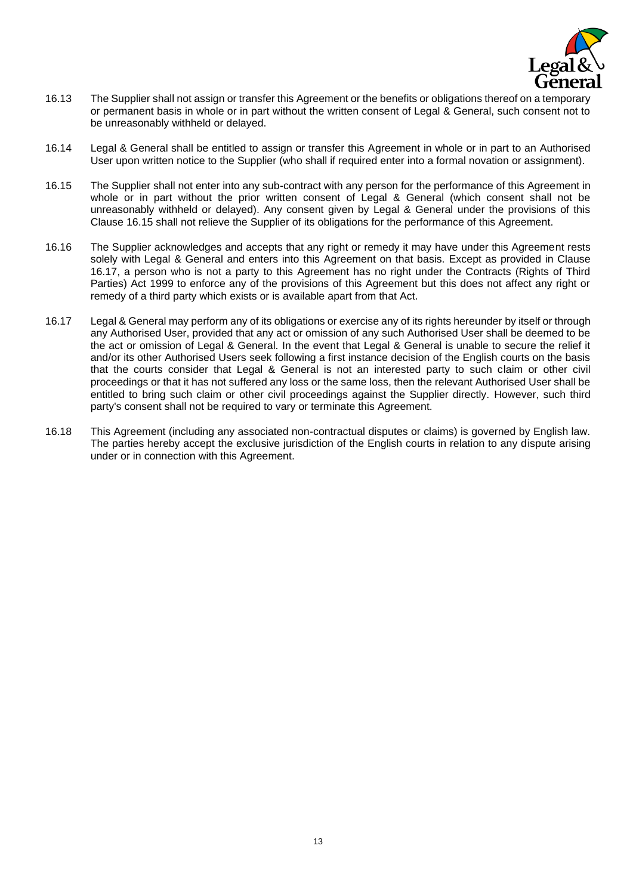

- 16.13 The Supplier shall not assign or transfer this Agreement or the benefits or obligations thereof on a temporary or permanent basis in whole or in part without the written consent of Legal & General, such consent not to be unreasonably withheld or delayed.
- 16.14 Legal & General shall be entitled to assign or transfer this Agreement in whole or in part to an Authorised User upon written notice to the Supplier (who shall if required enter into a formal novation or assignment).
- <span id="page-12-0"></span>16.15 The Supplier shall not enter into any sub-contract with any person for the performance of this Agreement in whole or in part without the prior written consent of Legal & General (which consent shall not be unreasonably withheld or delayed). Any consent given by Legal & General under the provisions of this Clause [16.15](#page-12-0) shall not relieve the Supplier of its obligations for the performance of this Agreement.
- 16.16 The Supplier acknowledges and accepts that any right or remedy it may have under this Agreement rests solely with Legal & General and enters into this Agreement on that basis. Except as provided in Clause [16.17,](#page-12-1) a person who is not a party to this Agreement has no right under the Contracts (Rights of Third Parties) Act 1999 to enforce any of the provisions of this Agreement but this does not affect any right or remedy of a third party which exists or is available apart from that Act.
- <span id="page-12-1"></span>16.17 Legal & General may perform any of its obligations or exercise any of its rights hereunder by itself or through any Authorised User, provided that any act or omission of any such Authorised User shall be deemed to be the act or omission of Legal & General. In the event that Legal & General is unable to secure the relief it and/or its other Authorised Users seek following a first instance decision of the English courts on the basis that the courts consider that Legal & General is not an interested party to such claim or other civil proceedings or that it has not suffered any loss or the same loss, then the relevant Authorised User shall be entitled to bring such claim or other civil proceedings against the Supplier directly. However, such third party's consent shall not be required to vary or terminate this Agreement.
- 16.18 This Agreement (including any associated non-contractual disputes or claims) is governed by English law. The parties hereby accept the exclusive jurisdiction of the English courts in relation to any dispute arising under or in connection with this Agreement.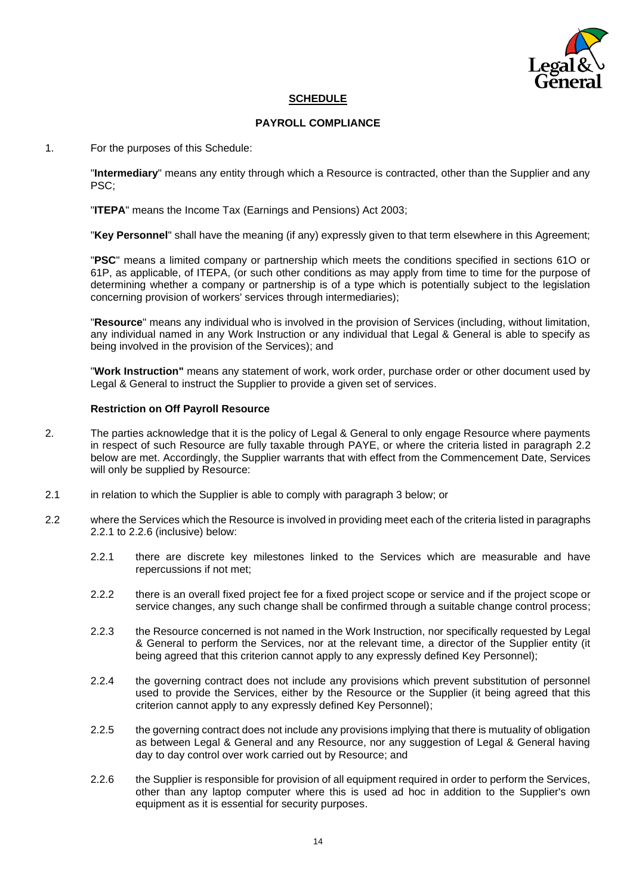

# **SCHEDULE**

### **PAYROLL COMPLIANCE**

1. For the purposes of this Schedule:

"**Intermediary**" means any entity through which a Resource is contracted, other than the Supplier and any PSC;

"**ITEPA**" means the Income Tax (Earnings and Pensions) Act 2003;

"**Key Personnel**" shall have the meaning (if any) expressly given to that term elsewhere in this Agreement;

"**PSC**" means a limited company or partnership which meets the conditions specified in sections 61O or 61P, as applicable, of ITEPA, (or such other conditions as may apply from time to time for the purpose of determining whether a company or partnership is of a type which is potentially subject to the legislation concerning provision of workers' services through intermediaries);

"**Resource**" means any individual who is involved in the provision of Services (including, without limitation, any individual named in any Work Instruction or any individual that Legal & General is able to specify as being involved in the provision of the Services); and

"**Work Instruction"** means any statement of work, work order, purchase order or other document used by Legal & General to instruct the Supplier to provide a given set of services.

#### **Restriction on Off Payroll Resource**

- 2. The parties acknowledge that it is the policy of Legal & General to only engage Resource where payments in respect of such Resource are fully taxable through PAYE, or where the criteria listed in paragraph 2.2 below are met. Accordingly, the Supplier warrants that with effect from the Commencement Date, Services will only be supplied by Resource:
- 2.1 in relation to which the Supplier is able to comply with paragraph 3 below; or
- 2.2 where the Services which the Resource is involved in providing meet each of the criteria listed in paragraphs 2.2.1 to 2.2.6 (inclusive) below:
	- 2.2.1 there are discrete key milestones linked to the Services which are measurable and have repercussions if not met;
	- 2.2.2 there is an overall fixed project fee for a fixed project scope or service and if the project scope or service changes, any such change shall be confirmed through a suitable change control process;
	- 2.2.3 the Resource concerned is not named in the Work Instruction, nor specifically requested by Legal & General to perform the Services, nor at the relevant time, a director of the Supplier entity (it being agreed that this criterion cannot apply to any expressly defined Key Personnel);
	- 2.2.4 the governing contract does not include any provisions which prevent substitution of personnel used to provide the Services, either by the Resource or the Supplier (it being agreed that this criterion cannot apply to any expressly defined Key Personnel);
	- 2.2.5 the governing contract does not include any provisions implying that there is mutuality of obligation as between Legal & General and any Resource, nor any suggestion of Legal & General having day to day control over work carried out by Resource; and
	- 2.2.6 the Supplier is responsible for provision of all equipment required in order to perform the Services, other than any laptop computer where this is used ad hoc in addition to the Supplier's own equipment as it is essential for security purposes.